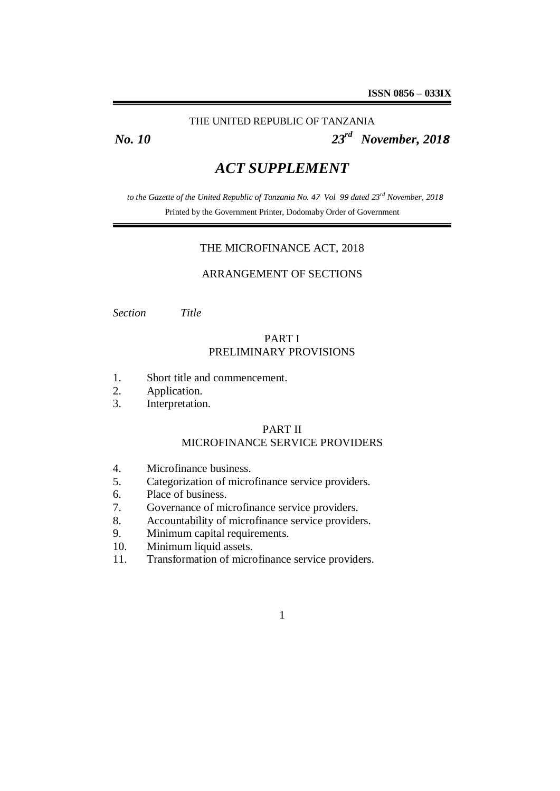## THE UNITED REPUBLIC OF TANZANIA

*No. 10 23rd November, 2018*

# *ACT SUPPLEMENT*

*to the Gazette of the United Republic of Tanzania No. 47 Vol 99 dated 23rd November, 2018* Printed by the Government Printer, Dodomaby Order of Government

## THE MICROFINANCE ACT, 2018

# ARRANGEMENT OF SECTIONS

*Section Title*

# PART I PRELIMINARY PROVISIONS

- 1. Short title and commencement.
- 2. Application.
- 3. Interpretation.

## PART II MICROFINANCE SERVICE PROVIDERS

- 4. Microfinance business.
- 5. Categorization of microfinance service providers.
- 6. Place of business.
- 7. Governance of microfinance service providers.
- 8. Accountability of microfinance service providers.
- 9. Minimum capital requirements.
- 10. Minimum liquid assets.
- 11. Transformation of microfinance service providers.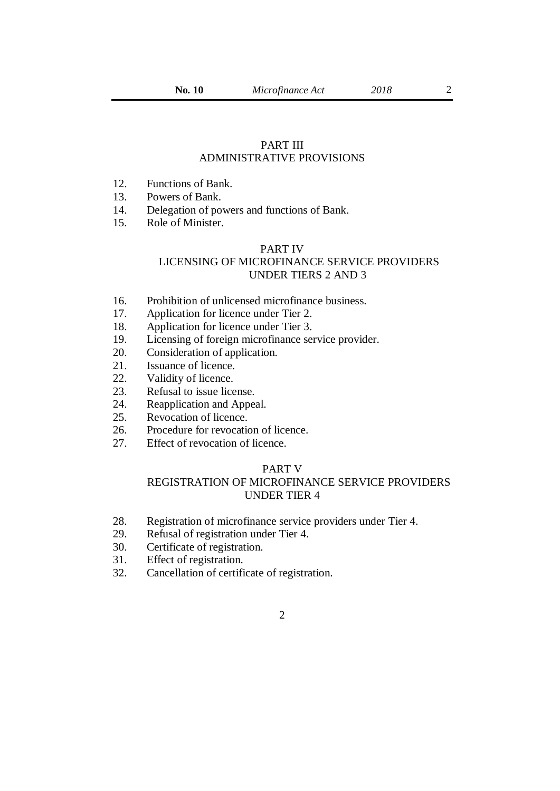2

# PART III ADMINISTRATIVE PROVISIONS

- 12. Functions of Bank.
- 13. Powers of Bank.
- 14. Delegation of powers and functions of Bank.
- 15. Role of Minister.

## PART IV

# LICENSING OF MICROFINANCE SERVICE PROVIDERS UNDER TIERS 2 AND 3

- 16. Prohibition of unlicensed microfinance business.
- 17. Application for licence under Tier 2.
- 18. Application for licence under Tier 3.
- 19. Licensing of foreign microfinance service provider.
- 20. Consideration of application.
- 21. Issuance of licence.
- 22. Validity of licence.
- 23. Refusal to issue license.
- 24. Reapplication and Appeal.
- 25. Revocation of licence.
- 26. Procedure for revocation of licence.
- 27. Effect of revocation of licence.

# PART V

## REGISTRATION OF MICROFINANCE SERVICE PROVIDERS UNDER TIER 4

- 28. Registration of microfinance service providers under Tier 4.
- 29. Refusal of registration under Tier 4.
- 30. Certificate of registration.
- 31. Effect of registration.
- 32. Cancellation of certificate of registration.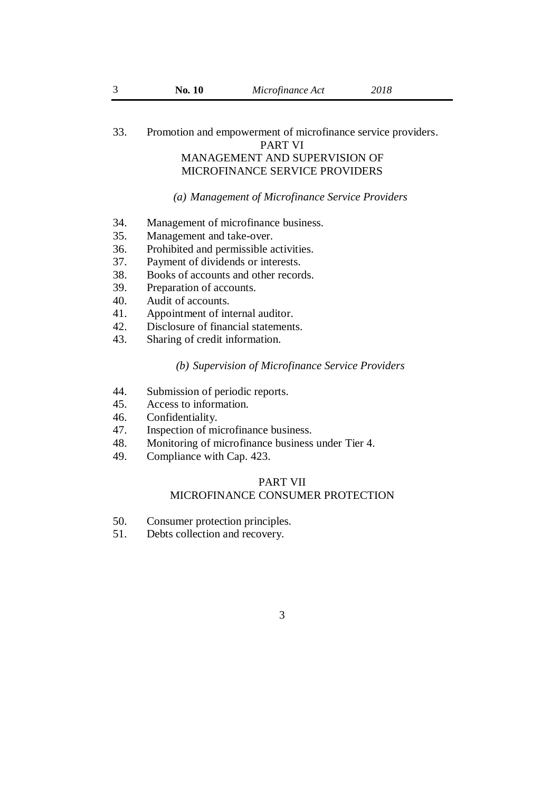# 33. Promotion and empowerment of microfinance service providers.

PART VI

# MANAGEMENT AND SUPERVISION OF MICROFINANCE SERVICE PROVIDERS

## *(a) Management of Microfinance Service Providers*

- 34. Management of microfinance business.
- 35. Management and take-over.
- 36. Prohibited and permissible activities.
- 37. Payment of dividends or interests.
- 38. Books of accounts and other records.
- 39. Preparation of accounts.
- 40. Audit of accounts.
- 41. Appointment of internal auditor.
- 42. Disclosure of financial statements.
- 43. Sharing of credit information.

#### *(b) Supervision of Microfinance Service Providers*

- 44. Submission of periodic reports.
- 45. Access to information.
- 46. Confidentiality.
- 47. Inspection of microfinance business.
- 48. Monitoring of microfinance business under Tier 4.
- 49. Compliance with Cap. 423.

## PART VII MICROFINANCE CONSUMER PROTECTION

- 50. Consumer protection principles.
- 51. Debts collection and recovery.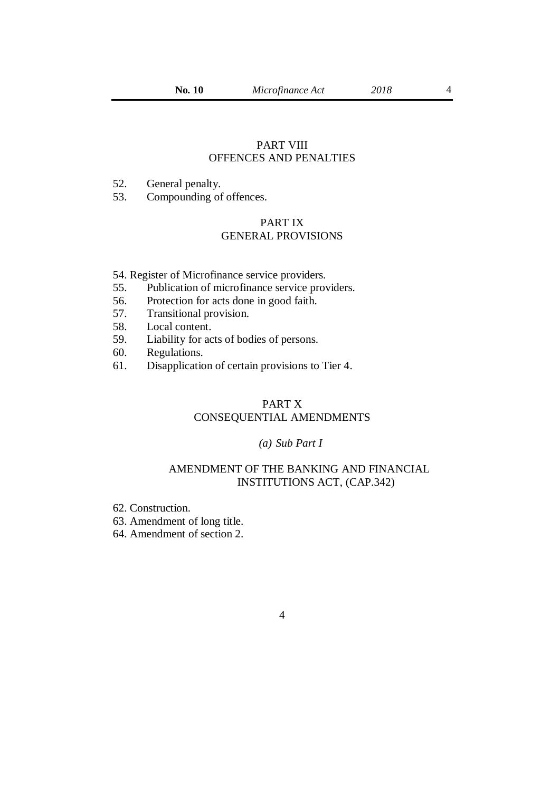4

## PART VIII OFFENCES AND PENALTIES

- 52. General penalty.
- 53. Compounding of offences.

# PART IX GENERAL PROVISIONS

- 54. Register of Microfinance service providers.
- 55. Publication of microfinance service providers.
- 56. Protection for acts done in good faith.
- 57. Transitional provision.
- 58. Local content.
- 59. Liability for acts of bodies of persons.
- 60. Regulations.
- 61. Disapplication of certain provisions to Tier 4.

## PART X

# CONSEQUENTIAL AMENDMENTS

## *(a) Sub Part I*

# AMENDMENT OF THE BANKING AND FINANCIAL INSTITUTIONS ACT, (CAP.342)

62. Construction.

63. Amendment of long title.

64. Amendment of section 2.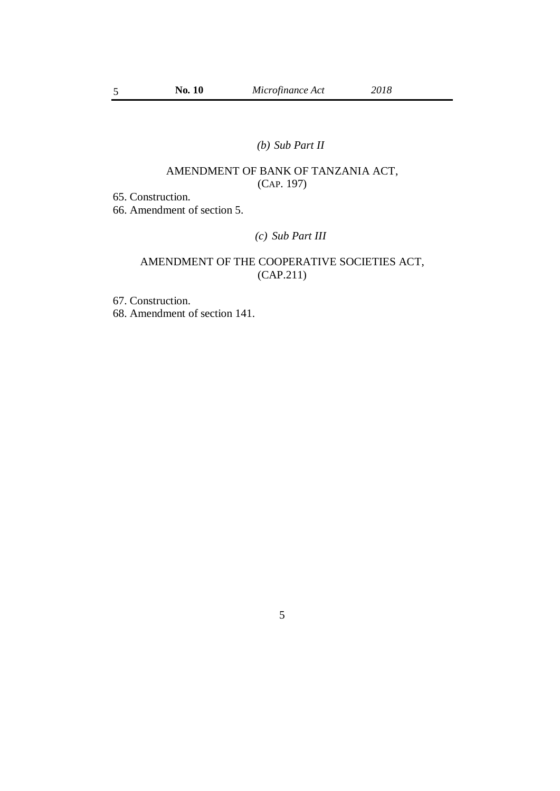# *(b) Sub Part II*

# AMENDMENT OF BANK OF TANZANIA ACT, (CAP. 197)

65. Construction.

66. Amendment of section 5.

# *(c) Sub Part III*

# AMENDMENT OF THE COOPERATIVE SOCIETIES ACT, (CAP.211)

67. Construction.

68. Amendment of section 141.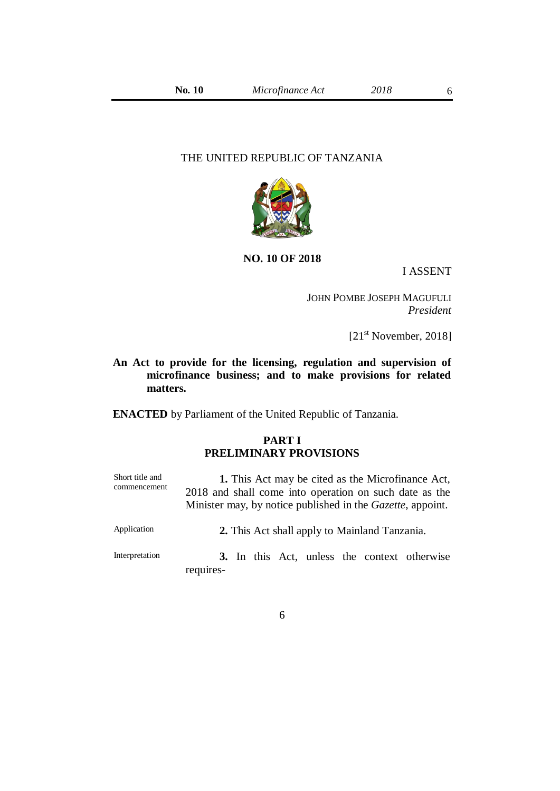## THE UNITED REPUBLIC OF TANZANIA



#### **NO. 10 OF 2018**

I ASSENT

JOHN POMBE JOSEPH MAGUFULI *President*

 $[21<sup>st</sup> November, 2018]$ 

# **An Act to provide for the licensing, regulation and supervision of microfinance business; and to make provisions for related matters.**

**ENACTED** by Parliament of the United Republic of Tanzania.

# **PART I PRELIMINARY PROVISIONS**

| Short title and<br>commencement | <b>1.</b> This Act may be cited as the Microfinance Act,<br>2018 and shall come into operation on such date as the<br>Minister may, by notice published in the <i>Gazette</i> , appoint. |
|---------------------------------|------------------------------------------------------------------------------------------------------------------------------------------------------------------------------------------|
| Application                     | 2. This Act shall apply to Mainland Tanzania.                                                                                                                                            |
| Interpretation                  | 3. In this Act, unless the context otherwise<br>requires-                                                                                                                                |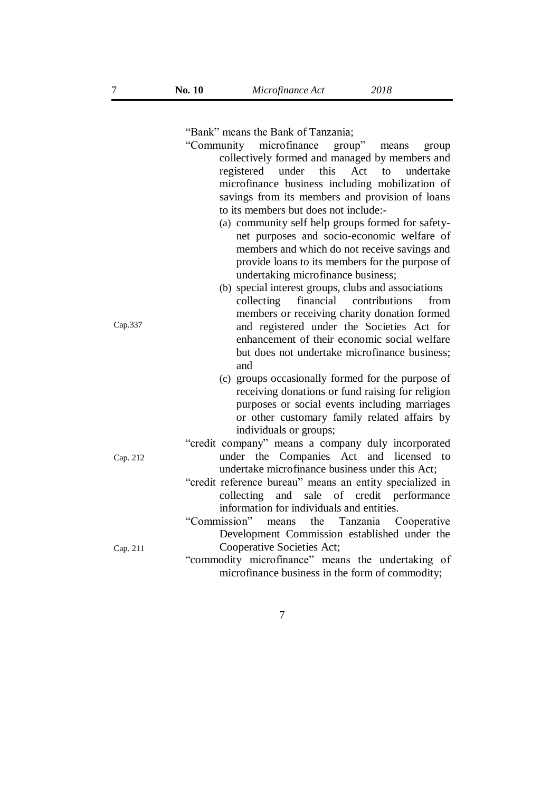"Bank" means the Bank of Tanzania;

- "Community microfinance group" means group collectively formed and managed by members and registered under this Act to undertake microfinance business including mobilization of savings from its members and provision of loans to its members but does not include:-
	- (a) community self help groups formed for safetynet purposes and socio-economic welfare of members and which do not receive savings and provide loans to its members for the purpose of undertaking microfinance business;
	- (b) special interest groups, clubs and associations collecting financial contributions from members or receiving charity donation formed and registered under the Societies Act for enhancement of their economic social welfare but does not undertake microfinance business; and
		- (c) groups occasionally formed for the purpose of receiving donations or fund raising for religion purposes or social events including marriages or other customary family related affairs by individuals or groups;

"credit company" means a company duly incorporated under the Companies Act and licensed to undertake microfinance business under this Act;

- "credit reference bureau" means an entity specialized in collecting and sale of credit performance information for individuals and entities.
- "Commission" means the Tanzania Cooperative Development Commission established under the Cooperative Societies Act;

"commodity microfinance" means the undertaking of microfinance business in the form of commodity;

Cap.337

Cap. 212

Cap. 211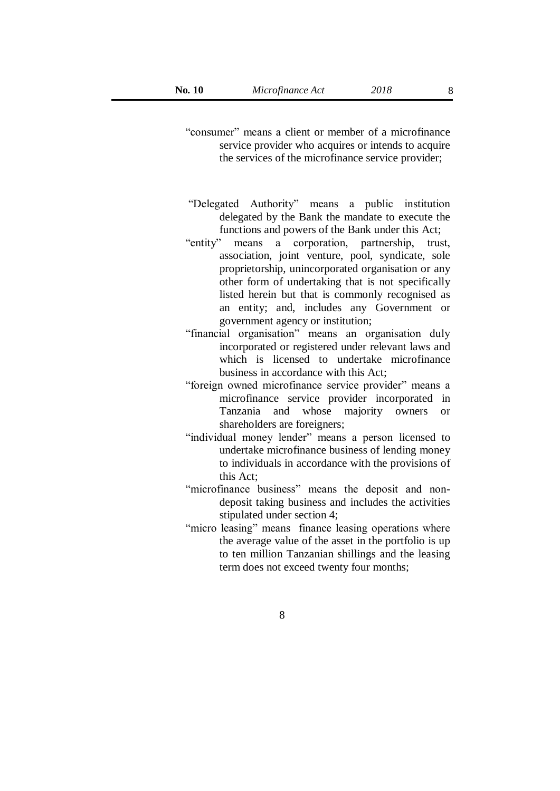- "consumer" means a client or member of a microfinance service provider who acquires or intends to acquire the services of the microfinance service provider;
- "Delegated Authority" means a public institution delegated by the Bank the mandate to execute the functions and powers of the Bank under this Act;
- "entity" means a corporation, partnership, trust, association, joint venture, pool, syndicate, sole proprietorship, unincorporated organisation or any other form of undertaking that is not specifically listed herein but that is commonly recognised as an entity; and, includes any Government or government agency or institution;
- "financial organisation" means an organisation duly incorporated or registered under relevant laws and which is licensed to undertake microfinance business in accordance with this Act;
- "foreign owned microfinance service provider" means a microfinance service provider incorporated in Tanzania and whose majority owners or shareholders are foreigners;
- "individual money lender" means a person licensed to undertake microfinance business of lending money to individuals in accordance with the provisions of this Act;
- "microfinance business" means the deposit and nondeposit taking business and includes the activities stipulated under section 4;
- "micro leasing" means finance leasing operations where the average value of the asset in the portfolio is up to ten million Tanzanian shillings and the leasing term does not exceed twenty four months;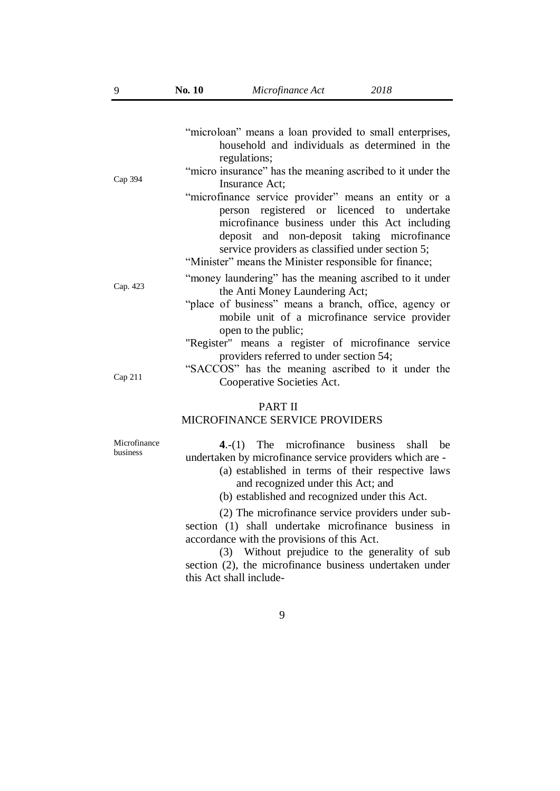| Microfinance Act |  |
|------------------|--|
|                  |  |

| Cap 394                                          | "microloan" means a loan provided to small enterprises,<br>household and individuals as determined in the<br>regulations;<br>"micro insurance" has the meaning ascribed to it under the<br>Insurance Act;<br>"microfinance service provider" means an entity or a<br>person registered or licenced to undertake<br>microfinance business under this Act including |  |
|--------------------------------------------------|-------------------------------------------------------------------------------------------------------------------------------------------------------------------------------------------------------------------------------------------------------------------------------------------------------------------------------------------------------------------|--|
|                                                  | deposit and non-deposit taking microfinance<br>service providers as classified under section 5;<br>"Minister" means the Minister responsible for finance;                                                                                                                                                                                                         |  |
| Cap. 423                                         | "money laundering" has the meaning ascribed to it under<br>the Anti Money Laundering Act;<br>"place of business" means a branch, office, agency or<br>mobile unit of a microfinance service provider<br>open to the public;                                                                                                                                       |  |
|                                                  | "Register" means a register of microfinance service                                                                                                                                                                                                                                                                                                               |  |
|                                                  | providers referred to under section 54;<br>"SACCOS" has the meaning ascribed to it under the                                                                                                                                                                                                                                                                      |  |
| Cap 211                                          | Cooperative Societies Act.                                                                                                                                                                                                                                                                                                                                        |  |
| <b>PART II</b><br>MICROFINANCE SERVICE PROVIDERS |                                                                                                                                                                                                                                                                                                                                                                   |  |
| Microfinance<br>business                         | $4-(1)$ The microfinance business shall<br>he<br>undertaken by microfinance service providers which are -<br>(a) established in terms of their respective laws<br>and recognized under this Act; and<br>(b) established and recognized under this Act.                                                                                                            |  |
|                                                  | (2) The microfinance service providers under sub-<br>section (1) shall undertake microfinance business in<br>accordance with the provisions of this Act.                                                                                                                                                                                                          |  |

(3) Without prejudice to the generality of sub section (2), the microfinance business undertaken under this Act shall include-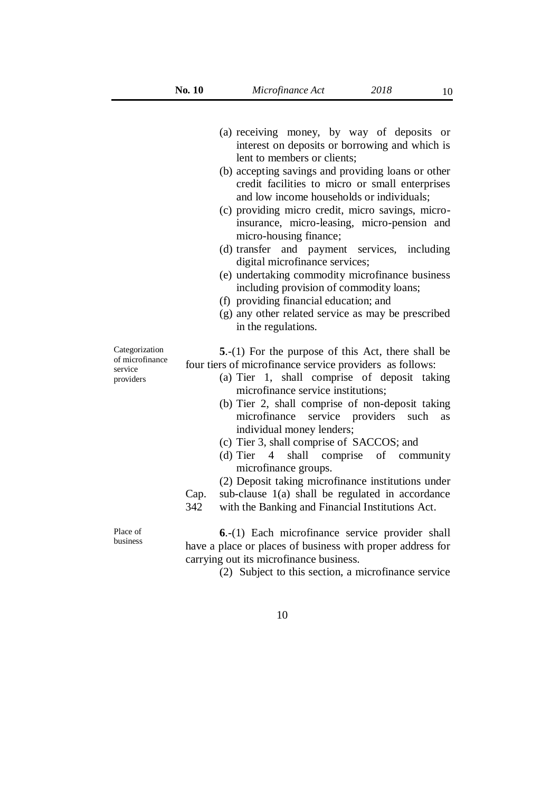10

(a) receiving money, by way of deposits or interest on deposits or borrowing and which is lent to members or clients; (b) accepting savings and providing loans or other credit facilities to micro or small enterprises and low income households or individuals; (c) providing micro credit, micro savings, microinsurance, micro-leasing, micro-pension and micro-housing finance; (d) transfer and payment services, including digital microfinance services; (e) undertaking commodity microfinance business including provision of commodity loans; (f) providing financial education; and (g) any other related service as may be prescribed in the regulations. **5**.-(1) For the purpose of this Act, there shall be four tiers of microfinance service providers as follows: (a) Tier 1, shall comprise of deposit taking microfinance service institutions; (b) Tier 2, shall comprise of non-deposit taking microfinance service providers such as individual money lenders; (c) Tier 3, shall comprise of SACCOS; and (d) Tier 4 shall comprise of community microfinance groups. Cap. 342 (2) Deposit taking microfinance institutions under sub-clause 1(a) shall be regulated in accordance with the Banking and Financial Institutions Act.

> **6**.-(1) Each microfinance service provider shall have a place or places of business with proper address for carrying out its microfinance business.

> > (2) Subject to this section, a microfinance service

Categorization of microfinance service providers

Place of business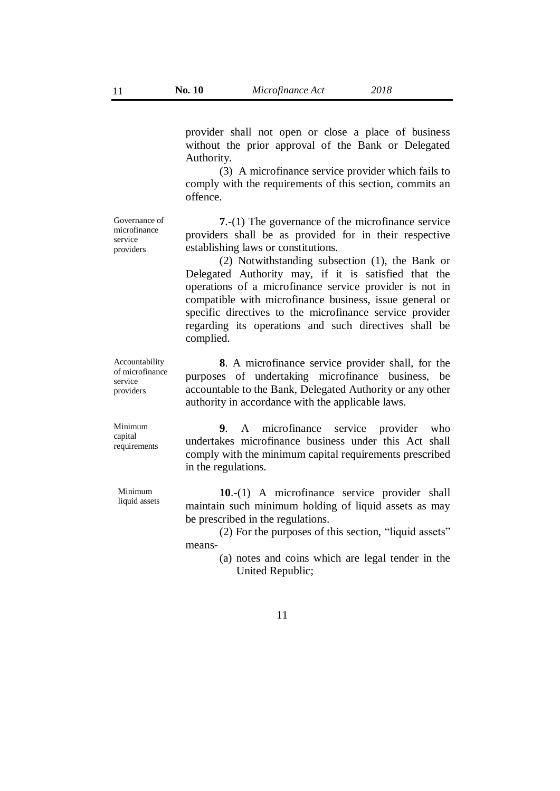provider shall not open or close a place of business without the prior approval of the Bank or Delegated Authority.

(3) A microfinance service provider which fails to comply with the requirements of this section, commits an offence.

Governance of microfinance service providers

**7**.-(1) The governance of the microfinance service providers shall be as provided for in their respective establishing laws or constitutions.

(2) Notwithstanding subsection (1), the Bank or Delegated Authority may, if it is satisfied that the operations of a microfinance service provider is not in compatible with microfinance business, issue general or specific directives to the microfinance service provider regarding its operations and such directives shall be complied.

**8**. A microfinance service provider shall, for the purposes of undertaking microfinance business, be accountable to the Bank, Delegated Authority or any other authority in accordance with the applicable laws.

Minimum capital requirements

Minimum liquid assets

Accountability of microfinance service providers

> **9**. A microfinance service provider who undertakes microfinance business under this Act shall comply with the minimum capital requirements prescribed in the regulations.

> **10**.-(1) A microfinance service provider shall maintain such minimum holding of liquid assets as may be prescribed in the regulations.

> (2) For the purposes of this section, "liquid assets" means-

> > (a) notes and coins which are legal tender in the United Republic;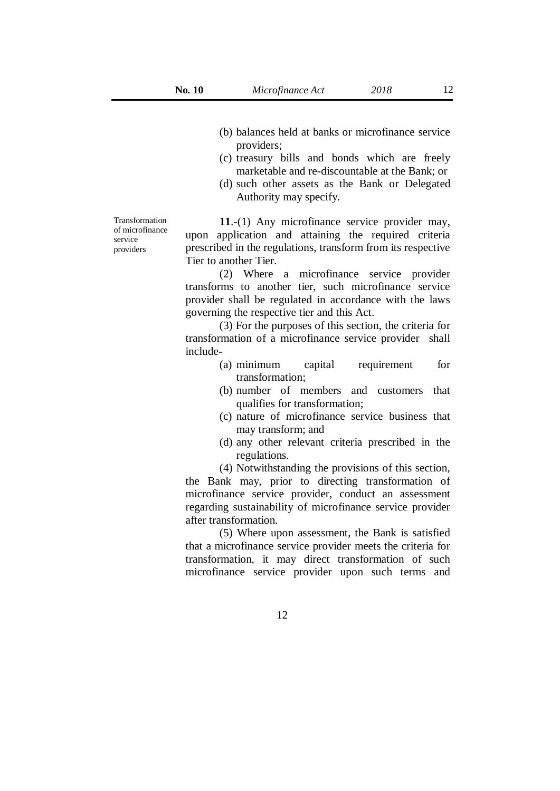- (b) balances held at banks or microfinance service providers;
- (c) treasury bills and bonds which are freely marketable and re-discountable at the Bank; or
- (d) such other assets as the Bank or Delegated Authority may specify.

Transformation of microfinance service providers

**11**.-(1) Any microfinance service provider may, upon application and attaining the required criteria prescribed in the regulations, transform from its respective Tier to another Tier.

(2) Where a microfinance service provider transforms to another tier, such microfinance service provider shall be regulated in accordance with the laws governing the respective tier and this Act.

(3) For the purposes of this section, the criteria for transformation of a microfinance service provider shall include-

- (a) minimum capital requirement for transformation;
- (b) number of members and customers that qualifies for transformation;
- (c) nature of microfinance service business that may transform; and
- (d) any other relevant criteria prescribed in the regulations.

(4) Notwithstanding the provisions of this section, the Bank may, prior to directing transformation of microfinance service provider, conduct an assessment regarding sustainability of microfinance service provider after transformation.

(5) Where upon assessment, the Bank is satisfied that a microfinance service provider meets the criteria for transformation, it may direct transformation of such microfinance service provider upon such terms and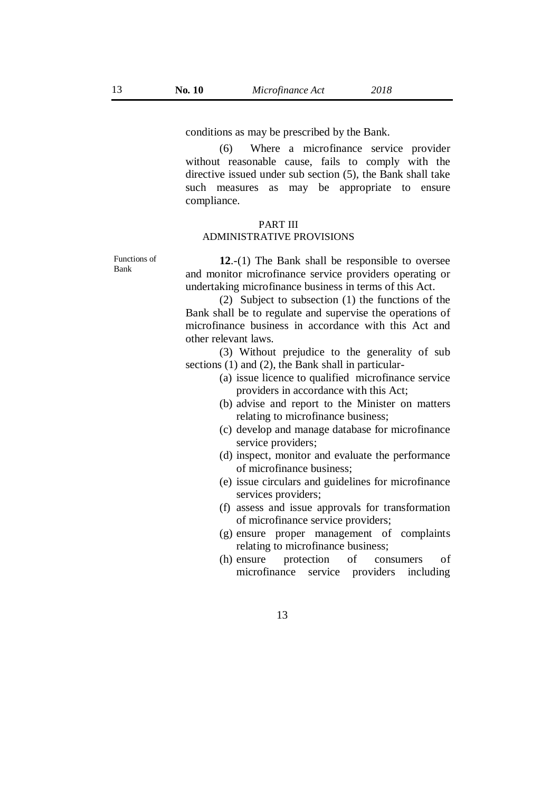conditions as may be prescribed by the Bank.

(6) Where a microfinance service provider without reasonable cause, fails to comply with the directive issued under sub section (5), the Bank shall take such measures as may be appropriate to ensure compliance.

## PART III ADMINISTRATIVE PROVISIONS

Functions of Bank

**12**.-(1) The Bank shall be responsible to oversee and monitor microfinance service providers operating or undertaking microfinance business in terms of this Act.

(2) Subject to subsection (1) the functions of the Bank shall be to regulate and supervise the operations of microfinance business in accordance with this Act and other relevant laws.

(3) Without prejudice to the generality of sub sections (1) and (2), the Bank shall in particular-

- (a) issue licence to qualified microfinance service providers in accordance with this Act;
- (b) advise and report to the Minister on matters relating to microfinance business;
- (c) develop and manage database for microfinance service providers;
- (d) inspect, monitor and evaluate the performance of microfinance business;
- (e) issue circulars and guidelines for microfinance services providers;
- (f) assess and issue approvals for transformation of microfinance service providers;
- (g) ensure proper management of complaints relating to microfinance business;
- (h) ensure protection of consumers of microfinance service providers including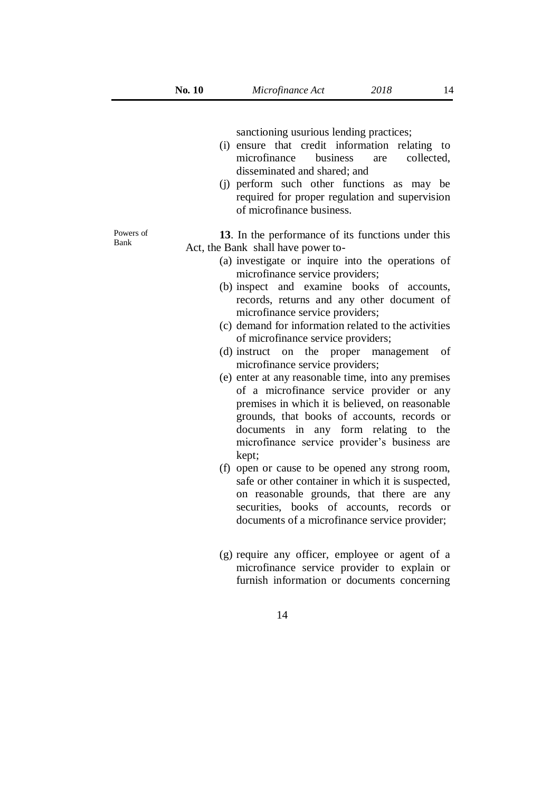sanctioning usurious lending practices;

- (i) ensure that credit information relating to microfinance business are collected, disseminated and shared; and
- (j) perform such other functions as may be required for proper regulation and supervision of microfinance business.

**13**. In the performance of its functions under this Act, the Bank shall have power to-

- (a) investigate or inquire into the operations of microfinance service providers;
- (b) inspect and examine books of accounts, records, returns and any other document of microfinance service providers;
- (c) demand for information related to the activities of microfinance service providers;
- (d) instruct on the proper management of microfinance service providers;
- (e) enter at any reasonable time, into any premises of a microfinance service provider or any premises in which it is believed, on reasonable grounds, that books of accounts, records or documents in any form relating to the microfinance service provider's business are kept;
- (f) open or cause to be opened any strong room, safe or other container in which it is suspected, on reasonable grounds, that there are any securities, books of accounts, records or documents of a microfinance service provider;
- (g) require any officer, employee or agent of a microfinance service provider to explain or furnish information or documents concerning

Powers of Bank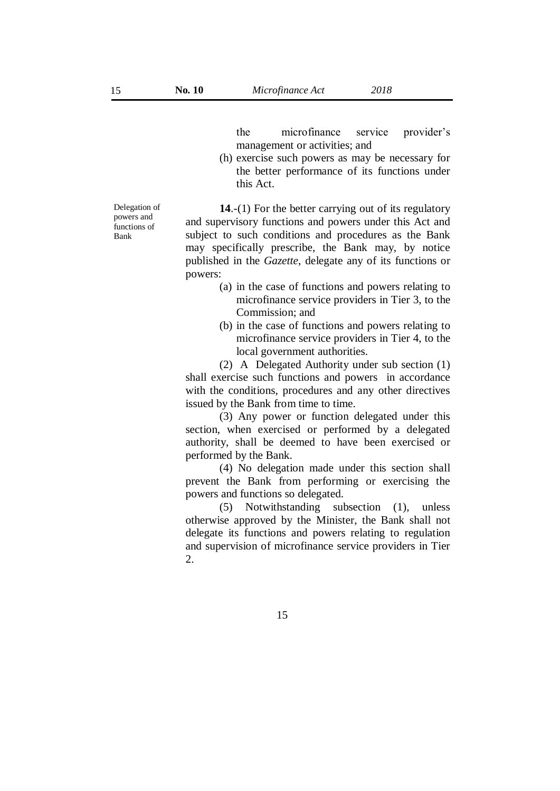the microfinance service provider's management or activities; and

(h) exercise such powers as may be necessary for the better performance of its functions under this Act.

Delegation of powers and functions of Bank

**14**.-(1) For the better carrying out of its regulatory and supervisory functions and powers under this Act and subject to such conditions and procedures as the Bank may specifically prescribe, the Bank may, by notice published in the *Gazette*, delegate any of its functions or powers:

- (a) in the case of functions and powers relating to microfinance service providers in Tier 3, to the Commission; and
- (b) in the case of functions and powers relating to microfinance service providers in Tier 4, to the local government authorities.

(2) A Delegated Authority under sub section (1) shall exercise such functions and powers in accordance with the conditions, procedures and any other directives issued by the Bank from time to time.

(3) Any power or function delegated under this section, when exercised or performed by a delegated authority, shall be deemed to have been exercised or performed by the Bank.

(4) No delegation made under this section shall prevent the Bank from performing or exercising the powers and functions so delegated.

(5) Notwithstanding subsection (1), unless otherwise approved by the Minister, the Bank shall not delegate its functions and powers relating to regulation and supervision of microfinance service providers in Tier 2.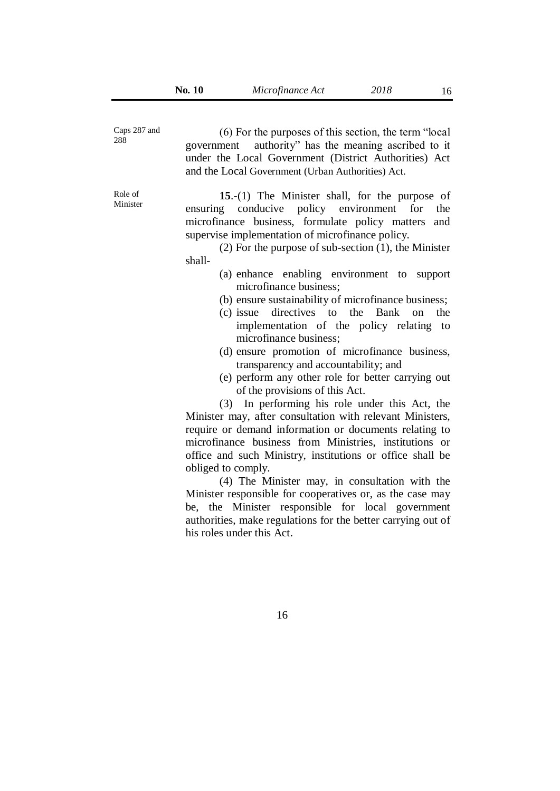| Caps 287 and<br>288 | (6) For the purposes of this section, the term "local"<br>authority" has the meaning ascribed to it<br>government<br>under the Local Government (District Authorities) Act<br>and the Local Government (Urban Authorities) Act.                                                                                                                                                                                                                                                                                                                                                                                                                                                                                                                                                                                                                                                                                                                                                                                                                                                                                                                                                                                                                                                                                                    |
|---------------------|------------------------------------------------------------------------------------------------------------------------------------------------------------------------------------------------------------------------------------------------------------------------------------------------------------------------------------------------------------------------------------------------------------------------------------------------------------------------------------------------------------------------------------------------------------------------------------------------------------------------------------------------------------------------------------------------------------------------------------------------------------------------------------------------------------------------------------------------------------------------------------------------------------------------------------------------------------------------------------------------------------------------------------------------------------------------------------------------------------------------------------------------------------------------------------------------------------------------------------------------------------------------------------------------------------------------------------|
| Role of<br>Minister | 15.-(1) The Minister shall, for the purpose of<br>ensuring conducive policy environment<br>for<br>the<br>microfinance business, formulate policy matters<br>and<br>supervise implementation of microfinance policy.<br>$(2)$ For the purpose of sub-section $(1)$ , the Minister<br>shall-<br>(a) enhance enabling environment to support<br>microfinance business;<br>(b) ensure sustainability of microfinance business;<br>directives to the<br>Bank<br>$(c)$ issue<br>on<br>the<br>implementation of the policy relating to<br>microfinance business;<br>(d) ensure promotion of microfinance business,<br>transparency and accountability; and<br>(e) perform any other role for better carrying out<br>of the provisions of this Act.<br>(3) In performing his role under this Act, the<br>Minister may, after consultation with relevant Ministers,<br>require or demand information or documents relating to<br>microfinance business from Ministries, institutions or<br>office and such Ministry, institutions or office shall be<br>obliged to comply.<br>(4) The Minister may, in consultation with the<br>Minister responsible for cooperatives or, as the case may<br>be, the Minister responsible for local government<br>authorities, make regulations for the better carrying out of<br>his roles under this Act. |
|                     | 16                                                                                                                                                                                                                                                                                                                                                                                                                                                                                                                                                                                                                                                                                                                                                                                                                                                                                                                                                                                                                                                                                                                                                                                                                                                                                                                                 |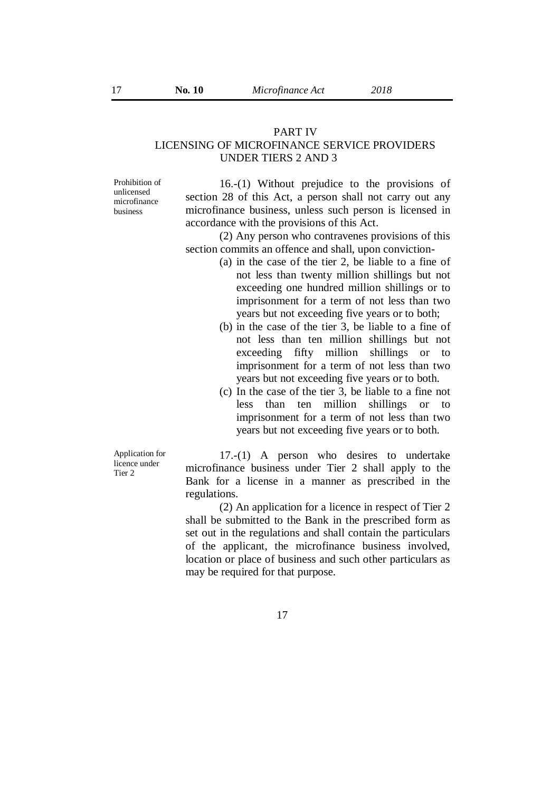#### PART IV

# LICENSING OF MICROFINANCE SERVICE PROVIDERS UNDER TIERS 2 AND 3

Prohibition of unlicensed microfinance business

16.-(1) Without prejudice to the provisions of section 28 of this Act, a person shall not carry out any microfinance business, unless such person is licensed in accordance with the provisions of this Act.

(2) Any person who contravenes provisions of this section commits an offence and shall, upon conviction-

- (a) in the case of the tier 2, be liable to a fine of not less than twenty million shillings but not exceeding one hundred million shillings or to imprisonment for a term of not less than two years but not exceeding five years or to both;
- (b) in the case of the tier 3, be liable to a fine of not less than ten million shillings but not exceeding fifty million shillings or to imprisonment for a term of not less than two years but not exceeding five years or to both.
- (c) In the case of the tier 3, be liable to a fine not less than ten million shillings or to imprisonment for a term of not less than two years but not exceeding five years or to both.

17.-(1) A person who desires to undertake microfinance business under Tier 2 shall apply to the Bank for a license in a manner as prescribed in the regulations.

(2) An application for a licence in respect of Tier 2 shall be submitted to the Bank in the prescribed form as set out in the regulations and shall contain the particulars of the applicant, the microfinance business involved, location or place of business and such other particulars as may be required for that purpose.

Application for licence under Tier 2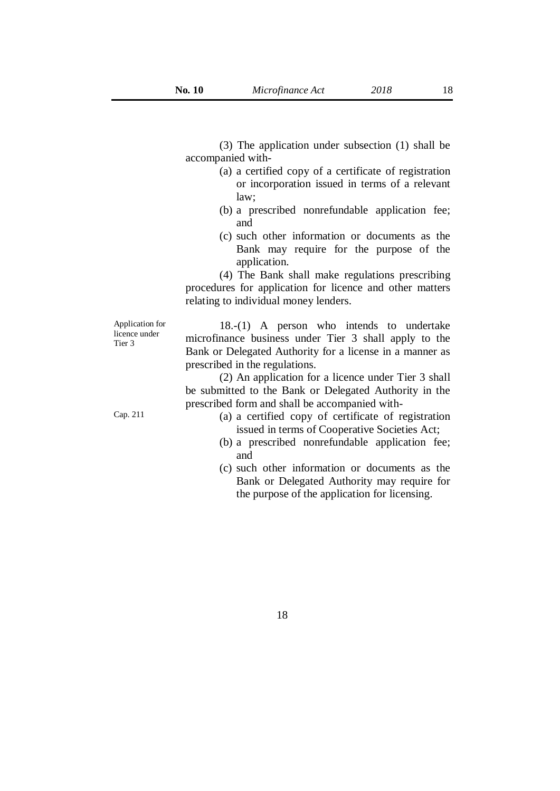(3) The application under subsection (1) shall be accompanied with-

- (a) a certified copy of a certificate of registration or incorporation issued in terms of a relevant law;
- (b) a prescribed nonrefundable application fee; and
- (c) such other information or documents as the Bank may require for the purpose of the application.

(4) The Bank shall make regulations prescribing procedures for application for licence and other matters relating to individual money lenders.

Application for licence under Tier 3

18.-(1) A person who intends to undertake microfinance business under Tier 3 shall apply to the Bank or Delegated Authority for a license in a manner as prescribed in the regulations.

(2) An application for a licence under Tier 3 shall be submitted to the Bank or Delegated Authority in the prescribed form and shall be accompanied with-

- Cap. 211 (a) a certified copy of certificate of registration issued in terms of Cooperative Societies Act;
	- (b) a prescribed nonrefundable application fee; and
	- (c) such other information or documents as the Bank or Delegated Authority may require for the purpose of the application for licensing.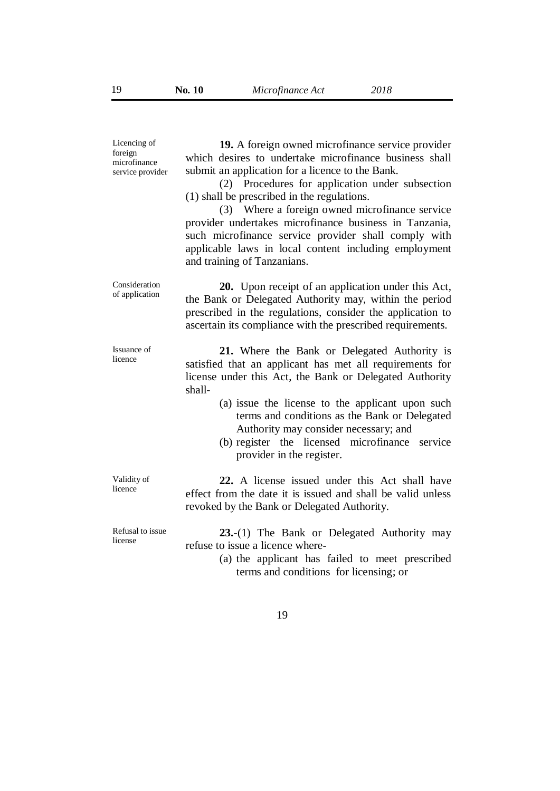| Licencing of<br>foreign<br>microfinance<br>service provider | 19. A foreign owned microfinance service provider<br>which desires to undertake microfinance business shall<br>submit an application for a licence to the Bank.<br>(2) Procedures for application under subsection<br>(1) shall be prescribed in the regulations.<br>(3) Where a foreign owned microfinance service<br>provider undertakes microfinance business in Tanzania,<br>such microfinance service provider shall comply with<br>applicable laws in local content including employment<br>and training of Tanzanians. |
|-------------------------------------------------------------|-------------------------------------------------------------------------------------------------------------------------------------------------------------------------------------------------------------------------------------------------------------------------------------------------------------------------------------------------------------------------------------------------------------------------------------------------------------------------------------------------------------------------------|
| Consideration<br>of application                             | <b>20.</b> Upon receipt of an application under this Act,<br>the Bank or Delegated Authority may, within the period<br>prescribed in the regulations, consider the application to<br>ascertain its compliance with the prescribed requirements.                                                                                                                                                                                                                                                                               |
| Issuance of<br>licence                                      | 21. Where the Bank or Delegated Authority is<br>satisfied that an applicant has met all requirements for<br>license under this Act, the Bank or Delegated Authority<br>shall-<br>(a) issue the license to the applicant upon such<br>terms and conditions as the Bank or Delegated<br>Authority may consider necessary; and<br>(b) register the licensed microfinance service<br>provider in the register.                                                                                                                    |
| Validity of<br>licence                                      | 22. A license issued under this Act shall have<br>effect from the date it is issued and shall be valid unless<br>revoked by the Bank or Delegated Authority.                                                                                                                                                                                                                                                                                                                                                                  |
| Refusal to issue<br>license                                 | 23.-(1) The Bank or Delegated Authority may<br>refuse to issue a licence where-<br>(a) the applicant has failed to meet prescribed<br>terms and conditions for licensing; or                                                                                                                                                                                                                                                                                                                                                  |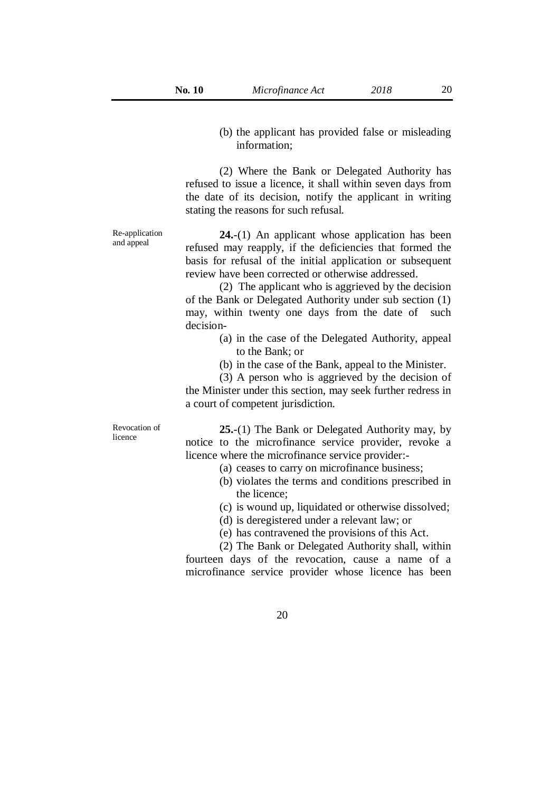(b) the applicant has provided false or misleading information;

(2) Where the Bank or Delegated Authority has refused to issue a licence, it shall within seven days from the date of its decision, notify the applicant in writing stating the reasons for such refusal.

Re-application and appeal

**24.**-(1) An applicant whose application has been refused may reapply, if the deficiencies that formed the basis for refusal of the initial application or subsequent review have been corrected or otherwise addressed.

(2) The applicant who is aggrieved by the decision of the Bank or Delegated Authority under sub section (1) may, within twenty one days from the date of such decision-

- (a) in the case of the Delegated Authority, appeal to the Bank; or
- (b) in the case of the Bank, appeal to the Minister.

(3) A person who is aggrieved by the decision of the Minister under this section, may seek further redress in a court of competent jurisdiction.

Revocation of licence

**25.**-(1) The Bank or Delegated Authority may, by notice to the microfinance service provider, revoke a licence where the microfinance service provider:-

- (a) ceases to carry on microfinance business;
- (b) violates the terms and conditions prescribed in the licence;
- (c) is wound up, liquidated or otherwise dissolved;
- (d) is deregistered under a relevant law; or
- (e) has contravened the provisions of this Act.

(2) The Bank or Delegated Authority shall, within fourteen days of the revocation, cause a name of a microfinance service provider whose licence has been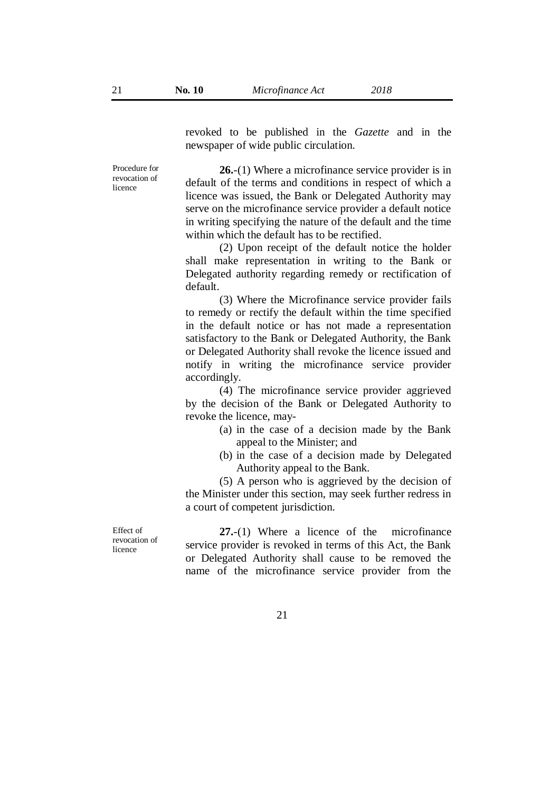revoked to be published in the *Gazette* and in the newspaper of wide public circulation.

Procedure for revocation of licence

**26.**-(1) Where a microfinance service provider is in default of the terms and conditions in respect of which a licence was issued, the Bank or Delegated Authority may serve on the microfinance service provider a default notice in writing specifying the nature of the default and the time within which the default has to be rectified.

(2) Upon receipt of the default notice the holder shall make representation in writing to the Bank or Delegated authority regarding remedy or rectification of default.

(3) Where the Microfinance service provider fails to remedy or rectify the default within the time specified in the default notice or has not made a representation satisfactory to the Bank or Delegated Authority, the Bank or Delegated Authority shall revoke the licence issued and notify in writing the microfinance service provider accordingly.

(4) The microfinance service provider aggrieved by the decision of the Bank or Delegated Authority to revoke the licence, may-

- (a) in the case of a decision made by the Bank appeal to the Minister; and
- (b) in the case of a decision made by Delegated Authority appeal to the Bank.

(5) A person who is aggrieved by the decision of the Minister under this section, may seek further redress in a court of competent jurisdiction.

Effect of revocation of licence

**27.**-(1) Where a licence of the microfinance service provider is revoked in terms of this Act, the Bank or Delegated Authority shall cause to be removed the name of the microfinance service provider from the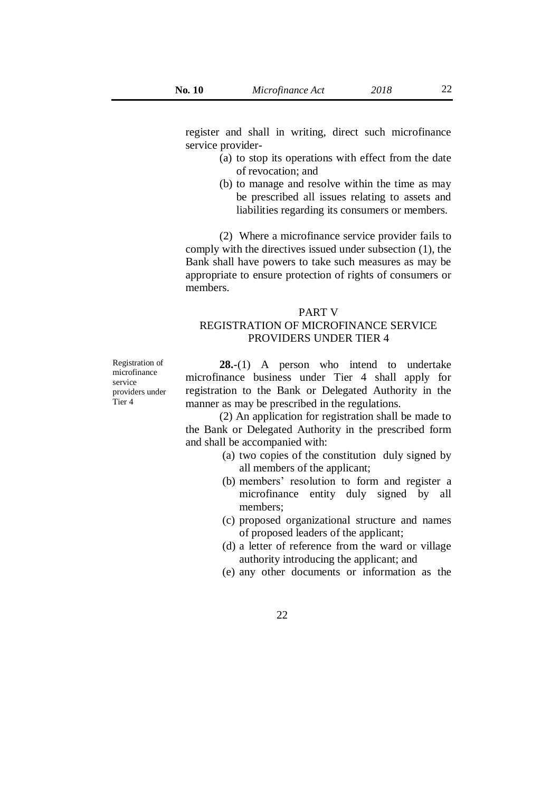register and shall in writing, direct such microfinance service provider-

- (a) to stop its operations with effect from the date of revocation; and
- (b) to manage and resolve within the time as may be prescribed all issues relating to assets and liabilities regarding its consumers or members.

(2) Where a microfinance service provider fails to comply with the directives issued under subsection (1), the Bank shall have powers to take such measures as may be appropriate to ensure protection of rights of consumers or members.

#### PART V

# REGISTRATION OF MICROFINANCE SERVICE PROVIDERS UNDER TIER 4

Registration of microfinance service providers under Tier 4

**28.**-(1) A person who intend to undertake microfinance business under Tier 4 shall apply for registration to the Bank or Delegated Authority in the manner as may be prescribed in the regulations.

(2) An application for registration shall be made to the Bank or Delegated Authority in the prescribed form and shall be accompanied with:

- (a) two copies of the constitution duly signed by all members of the applicant;
- (b) members' resolution to form and register a microfinance entity duly signed by all members;
- (c) proposed organizational structure and names of proposed leaders of the applicant;
- (d) a letter of reference from the ward or village authority introducing the applicant; and
- (e) any other documents or information as the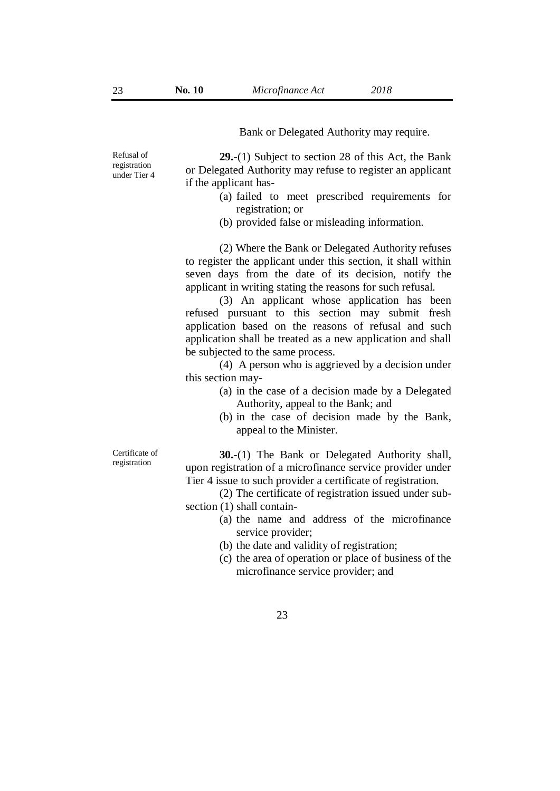Bank or Delegated Authority may require.

**29.**-(1) Subject to section 28 of this Act, the Bank or Delegated Authority may refuse to register an applicant if the applicant has-

- (a) failed to meet prescribed requirements for registration; or
- (b) provided false or misleading information.

(2) Where the Bank or Delegated Authority refuses to register the applicant under this section, it shall within seven days from the date of its decision, notify the applicant in writing stating the reasons for such refusal.

(3) An applicant whose application has been refused pursuant to this section may submit fresh application based on the reasons of refusal and such application shall be treated as a new application and shall be subjected to the same process.

(4) A person who is aggrieved by a decision under this section may-

- (a) in the case of a decision made by a Delegated Authority, appeal to the Bank; and
- (b) in the case of decision made by the Bank, appeal to the Minister.

**30.**-(1) The Bank or Delegated Authority shall, upon registration of a microfinance service provider under Tier 4 issue to such provider a certificate of registration.

(2) The certificate of registration issued under subsection (1) shall contain-

- (a) the name and address of the microfinance service provider;
- (b) the date and validity of registration;
- (c) the area of operation or place of business of the microfinance service provider; and

Refusal of registration under Tier 4

Certificate of registration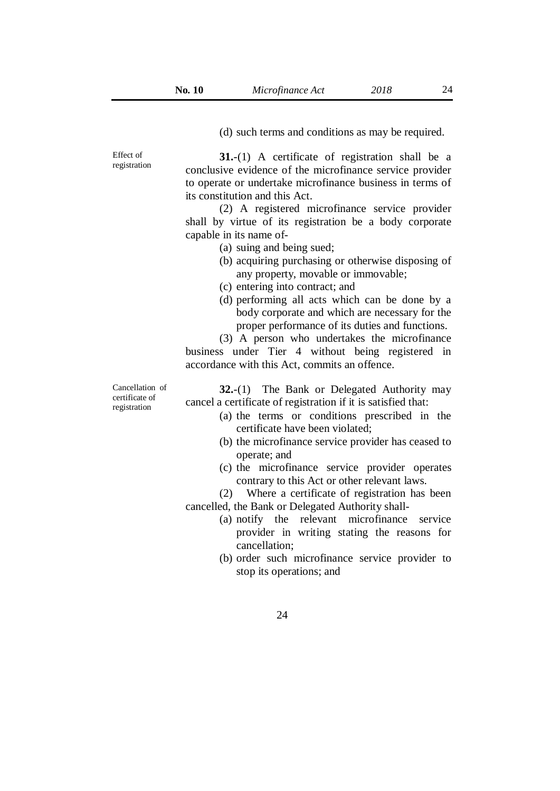Effect of

**31.**-(1) A certificate of registration shall be a conclusive evidence of the microfinance service provider to operate or undertake microfinance business in terms of its constitution and this Act.

(2) A registered microfinance service provider shall by virtue of its registration be a body corporate capable in its name of-

- (a) suing and being sued;
- (b) acquiring purchasing or otherwise disposing of any property, movable or immovable;
- (c) entering into contract; and
- (d) performing all acts which can be done by a body corporate and which are necessary for the proper performance of its duties and functions.

(3) A person who undertakes the microfinance business under Tier 4 without being registered in accordance with this Act, commits an offence.

**32.**-(1) The Bank or Delegated Authority may cancel a certificate of registration if it is satisfied that:

- (a) the terms or conditions prescribed in the certificate have been violated;
- (b) the microfinance service provider has ceased to operate; and
- (c) the microfinance service provider operates contrary to this Act or other relevant laws.

(2) Where a certificate of registration has been cancelled, the Bank or Delegated Authority shall-

- (a) notify the relevant microfinance service provider in writing stating the reasons for cancellation;
- (b) order such microfinance service provider to stop its operations; and

Cancellation of certificate of registration

registration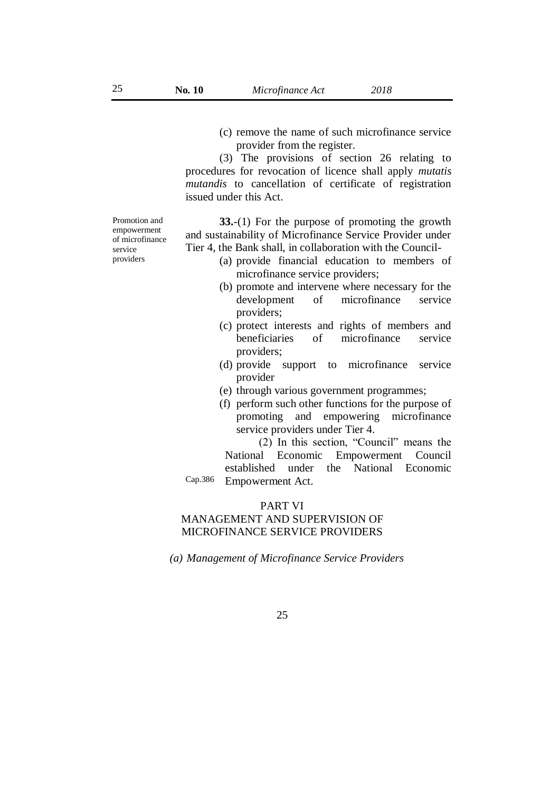(c) remove the name of such microfinance service provider from the register.

(3) The provisions of section 26 relating to procedures for revocation of licence shall apply *mutatis mutandis* to cancellation of certificate of registration issued under this Act.

**33.**-(1) For the purpose of promoting the growth and sustainability of Microfinance Service Provider under Tier 4, the Bank shall, in collaboration with the Council-

- (a) provide financial education to members of microfinance service providers;
- (b) promote and intervene where necessary for the development of microfinance service providers;
- (c) protect interests and rights of members and beneficiaries of microfinance service providers;
- (d) provide support to microfinance service provider
- (e) through various government programmes;
- (f) perform such other functions for the purpose of promoting and empowering microfinance service providers under Tier 4.

Cap.386 (2) In this section, "Council" means the National Economic Empowerment Council established under the National Economic Empowerment Act.

#### PART VI

# MANAGEMENT AND SUPERVISION OF MICROFINANCE SERVICE PROVIDERS

*(a) Management of Microfinance Service Providers*

Promotion and empowerment of microfinance service providers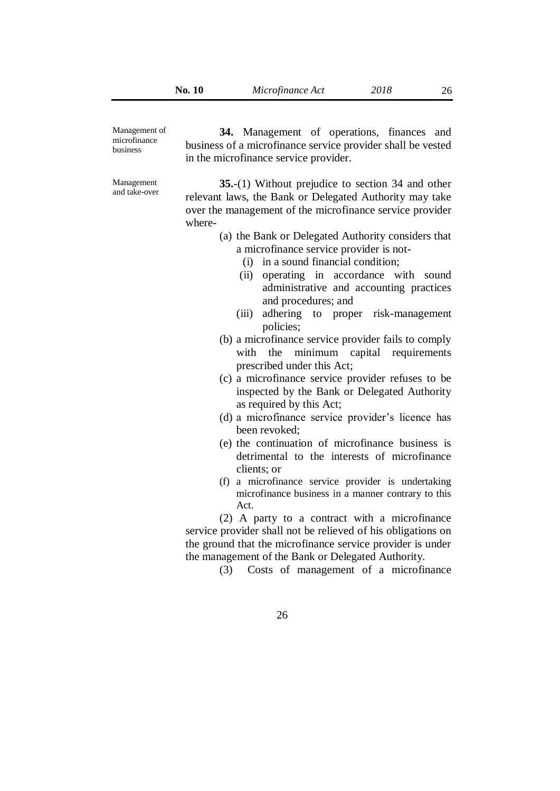Management of microfinance business

Management and take-over

**34.** Management of operations, finances and business of a microfinance service provider shall be vested in the microfinance service provider.

**35.**-(1) Without prejudice to section 34 and other relevant laws, the Bank or Delegated Authority may take over the management of the microfinance service provider where-

- (a) the Bank or Delegated Authority considers that a microfinance service provider is not-
	- (i) in a sound financial condition;
	- (ii) operating in accordance with sound administrative and accounting practices and procedures; and
	- (iii) adhering to proper risk-management policies;
- (b) a microfinance service provider fails to comply with the minimum capital requirements prescribed under this Act;
- (c) a microfinance service provider refuses to be inspected by the Bank or Delegated Authority as required by this Act;
- (d) a microfinance service provider's licence has been revoked;
- (e) the continuation of microfinance business is detrimental to the interests of microfinance clients; or
- (f) a microfinance service provider is undertaking microfinance business in a manner contrary to this Act.

(2) A party to a contract with a microfinance service provider shall not be relieved of his obligations on the ground that the microfinance service provider is under the management of the Bank or Delegated Authority.

(3) Costs of management of a microfinance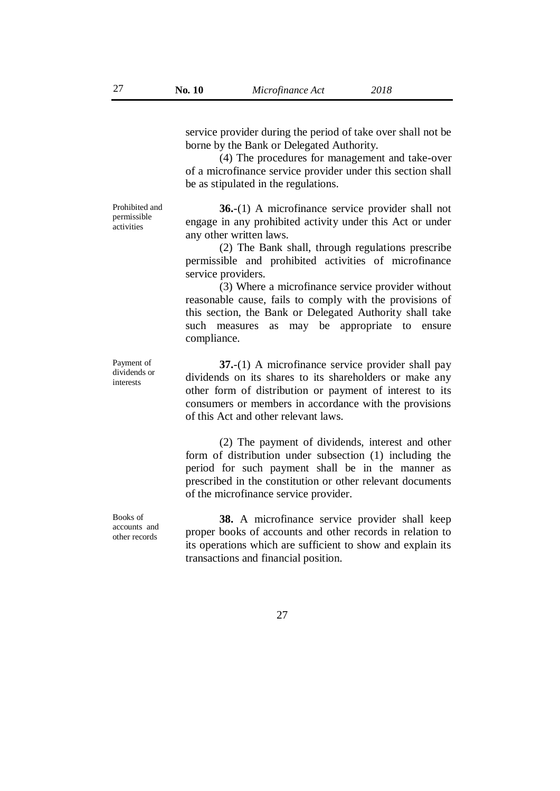service provider during the period of take over shall not be borne by the Bank or Delegated Authority.

(4) The procedures for management and take-over of a microfinance service provider under this section shall be as stipulated in the regulations.

Prohibited and permissible activities

**36.**-(1) A microfinance service provider shall not engage in any prohibited activity under this Act or under any other written laws.

(2) The Bank shall, through regulations prescribe permissible and prohibited activities of microfinance service providers.

(3) Where a microfinance service provider without reasonable cause, fails to comply with the provisions of this section, the Bank or Delegated Authority shall take such measures as may be appropriate to ensure compliance.

**37.**-(1) A microfinance service provider shall pay dividends on its shares to its shareholders or make any other form of distribution or payment of interest to its consumers or members in accordance with the provisions of this Act and other relevant laws.

(2) The payment of dividends, interest and other form of distribution under subsection (1) including the period for such payment shall be in the manner as prescribed in the constitution or other relevant documents of the microfinance service provider.

**38.** A microfinance service provider shall keep proper books of accounts and other records in relation to its operations which are sufficient to show and explain its transactions and financial position.

Payment of dividends or interests

Books of accounts and other records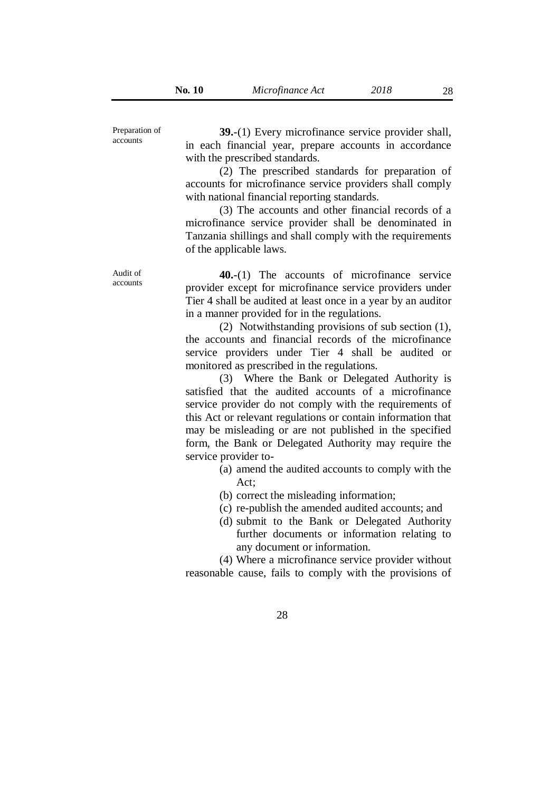Preparation of accounts

Audit of accounts

**39.**-(1) Every microfinance service provider shall, in each financial year, prepare accounts in accordance with the prescribed standards.

(2) The prescribed standards for preparation of accounts for microfinance service providers shall comply with national financial reporting standards.

(3) The accounts and other financial records of a microfinance service provider shall be denominated in Tanzania shillings and shall comply with the requirements of the applicable laws.

**40.**-(1) The accounts of microfinance service provider except for microfinance service providers under Tier 4 shall be audited at least once in a year by an auditor in a manner provided for in the regulations.

(2) Notwithstanding provisions of sub section (1), the accounts and financial records of the microfinance service providers under Tier 4 shall be audited or monitored as prescribed in the regulations.

(3) Where the Bank or Delegated Authority is satisfied that the audited accounts of a microfinance service provider do not comply with the requirements of this Act or relevant regulations or contain information that may be misleading or are not published in the specified form, the Bank or Delegated Authority may require the service provider to-

- (a) amend the audited accounts to comply with the Act;
- (b) correct the misleading information;
- (c) re-publish the amended audited accounts; and
- (d) submit to the Bank or Delegated Authority further documents or information relating to any document or information.

(4) Where a microfinance service provider without reasonable cause, fails to comply with the provisions of

28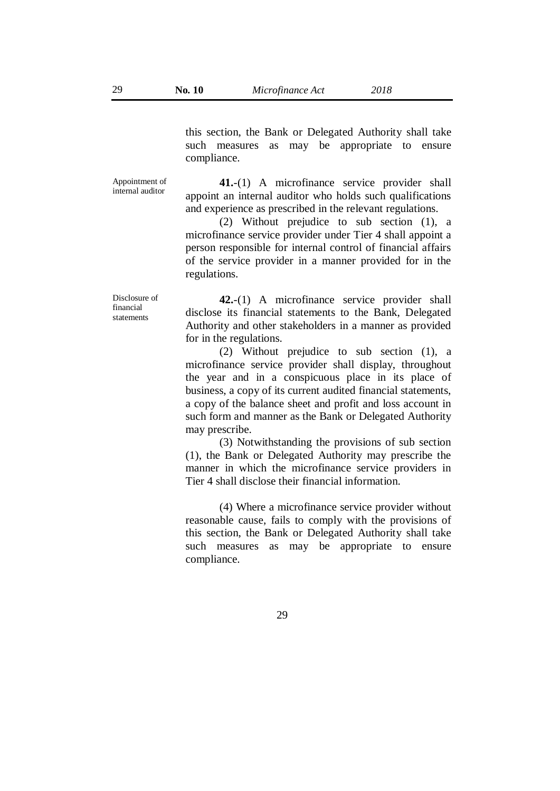this section, the Bank or Delegated Authority shall take such measures as may be appropriate to ensure compliance.

Appointment of internal auditor

**41.**-(1) A microfinance service provider shall appoint an internal auditor who holds such qualifications and experience as prescribed in the relevant regulations.

(2) Without prejudice to sub section (1), a microfinance service provider under Tier 4 shall appoint a person responsible for internal control of financial affairs of the service provider in a manner provided for in the regulations.

Disclosure of financial statements

**42.**-(1) A microfinance service provider shall disclose its financial statements to the Bank, Delegated Authority and other stakeholders in a manner as provided for in the regulations.

(2) Without prejudice to sub section (1), a microfinance service provider shall display, throughout the year and in a conspicuous place in its place of business, a copy of its current audited financial statements, a copy of the balance sheet and profit and loss account in such form and manner as the Bank or Delegated Authority may prescribe.

(3) Notwithstanding the provisions of sub section (1), the Bank or Delegated Authority may prescribe the manner in which the microfinance service providers in Tier 4 shall disclose their financial information.

(4) Where a microfinance service provider without reasonable cause, fails to comply with the provisions of this section, the Bank or Delegated Authority shall take such measures as may be appropriate to ensure compliance.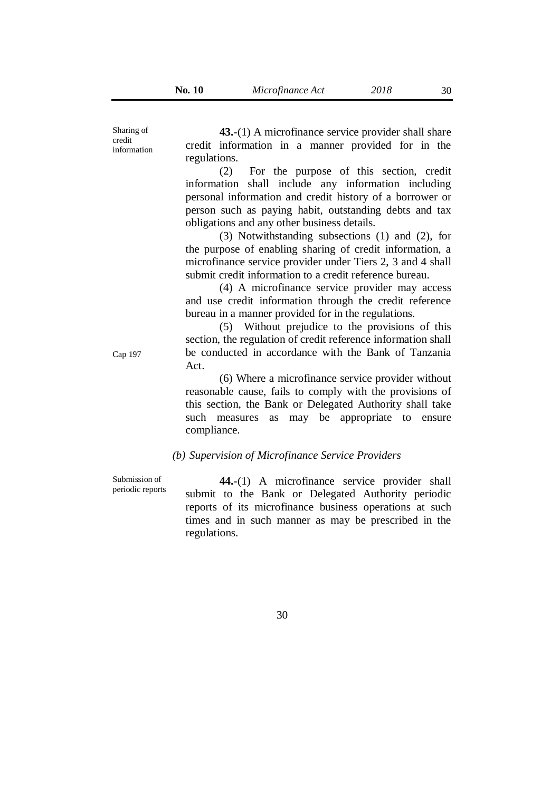Sharing of credit information

**43.**-(1) A microfinance service provider shall share credit information in a manner provided for in the regulations.

(2) For the purpose of this section, credit information shall include any information including personal information and credit history of a borrower or person such as paying habit, outstanding debts and tax obligations and any other business details.

(3) Notwithstanding subsections (1) and (2), for the purpose of enabling sharing of credit information, a microfinance service provider under Tiers 2, 3 and 4 shall submit credit information to a credit reference bureau.

(4) A microfinance service provider may access and use credit information through the credit reference bureau in a manner provided for in the regulations.

(5) Without prejudice to the provisions of this section, the regulation of credit reference information shall be conducted in accordance with the Bank of Tanzania Act.

(6) Where a microfinance service provider without reasonable cause, fails to comply with the provisions of this section, the Bank or Delegated Authority shall take such measures as may be appropriate to ensure compliance.

#### *(b) Supervision of Microfinance Service Providers*

Submission of periodic reports

**44.**-(1) A microfinance service provider shall submit to the Bank or Delegated Authority periodic reports of its microfinance business operations at such times and in such manner as may be prescribed in the regulations.

30

Cap 197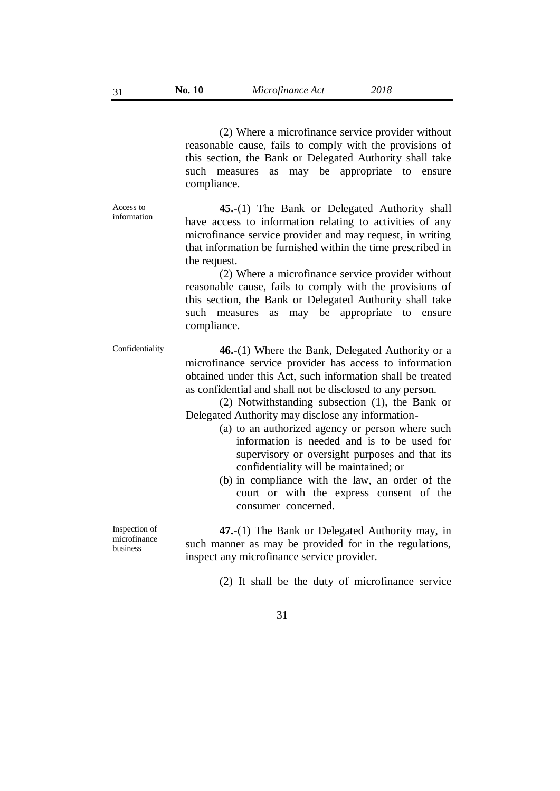(2) Where a microfinance service provider without reasonable cause, fails to comply with the provisions of this section, the Bank or Delegated Authority shall take such measures as may be appropriate to ensure compliance.

**45.**-(1) The Bank or Delegated Authority shall have access to information relating to activities of any microfinance service provider and may request, in writing that information be furnished within the time prescribed in the request.

(2) Where a microfinance service provider without reasonable cause, fails to comply with the provisions of this section, the Bank or Delegated Authority shall take such measures as may be appropriate to ensure compliance.

Confidentiality **46.**-(1) Where the Bank, Delegated Authority or a microfinance service provider has access to information obtained under this Act, such information shall be treated as confidential and shall not be disclosed to any person.

> (2) Notwithstanding subsection (1), the Bank or Delegated Authority may disclose any information-

- (a) to an authorized agency or person where such information is needed and is to be used for supervisory or oversight purposes and that its confidentiality will be maintained; or
- (b) in compliance with the law, an order of the court or with the express consent of the consumer concerned.

**47.**-(1) The Bank or Delegated Authority may, in such manner as may be provided for in the regulations, inspect any microfinance service provider.

(2) It shall be the duty of microfinance service

Inspection of

microfinance business

Access to information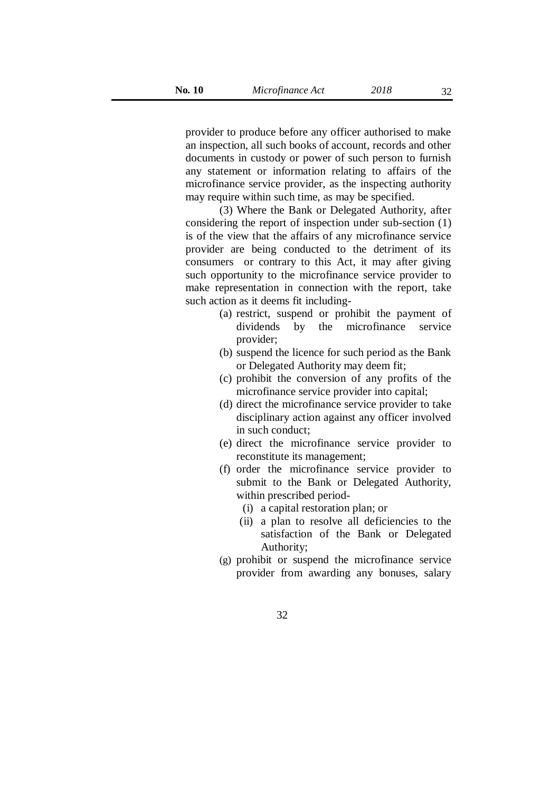provider to produce before any officer authorised to make an inspection, all such books of account, records and other documents in custody or power of such person to furnish any statement or information relating to affairs of the microfinance service provider, as the inspecting authority may require within such time, as may be specified.

(3) Where the Bank or Delegated Authority, after considering the report of inspection under sub-section (1) is of the view that the affairs of any microfinance service provider are being conducted to the detriment of its consumers or contrary to this Act, it may after giving such opportunity to the microfinance service provider to make representation in connection with the report, take such action as it deems fit including-

- (a) restrict, suspend or prohibit the payment of dividends by the microfinance service provider;
- (b) suspend the licence for such period as the Bank or Delegated Authority may deem fit;
- (c) prohibit the conversion of any profits of the microfinance service provider into capital;
- (d) direct the microfinance service provider to take disciplinary action against any officer involved in such conduct;
- (e) direct the microfinance service provider to reconstitute its management;
- (f) order the microfinance service provider to submit to the Bank or Delegated Authority, within prescribed period-
	- (i) a capital restoration plan; or
	- (ii) a plan to resolve all deficiencies to the satisfaction of the Bank or Delegated Authority;
- (g) prohibit or suspend the microfinance service provider from awarding any bonuses, salary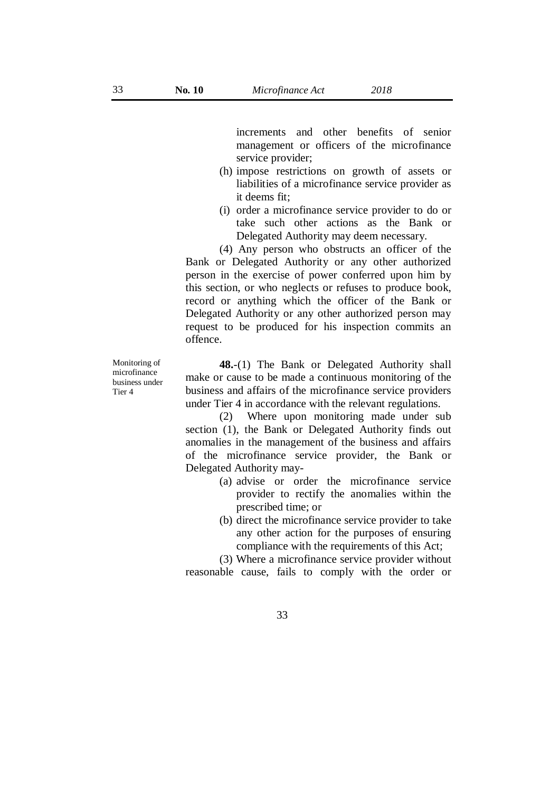increments and other benefits of senior management or officers of the microfinance service provider;

- (h) impose restrictions on growth of assets or liabilities of a microfinance service provider as it deems fit;
- (i) order a microfinance service provider to do or take such other actions as the Bank or Delegated Authority may deem necessary.

(4) Any person who obstructs an officer of the Bank or Delegated Authority or any other authorized person in the exercise of power conferred upon him by this section, or who neglects or refuses to produce book, record or anything which the officer of the Bank or Delegated Authority or any other authorized person may request to be produced for his inspection commits an offence.

Monitoring of microfinance business under Tier 4

**48.**-(1) The Bank or Delegated Authority shall make or cause to be made a continuous monitoring of the business and affairs of the microfinance service providers under Tier 4 in accordance with the relevant regulations.

(2) Where upon monitoring made under sub section (1), the Bank or Delegated Authority finds out anomalies in the management of the business and affairs of the microfinance service provider, the Bank or Delegated Authority may-

- (a) advise or order the microfinance service provider to rectify the anomalies within the prescribed time; or
- (b) direct the microfinance service provider to take any other action for the purposes of ensuring compliance with the requirements of this Act;

(3) Where a microfinance service provider without reasonable cause, fails to comply with the order or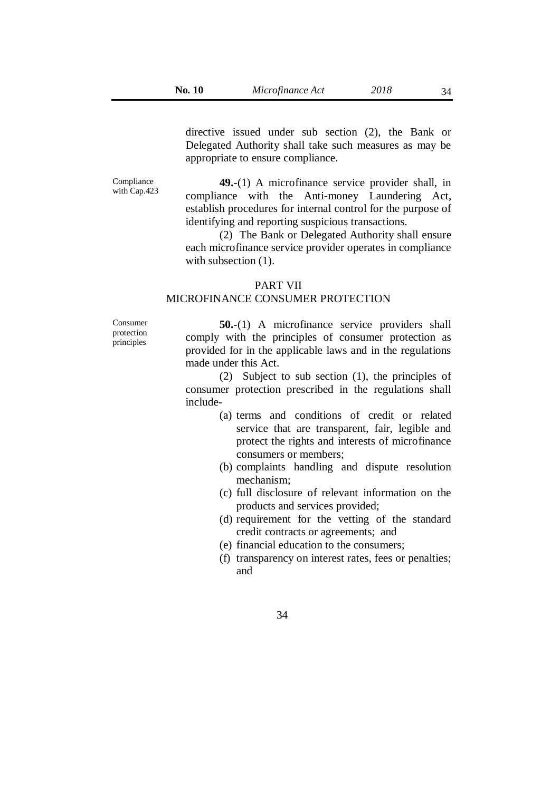34

directive issued under sub section (2), the Bank or Delegated Authority shall take such measures as may be appropriate to ensure compliance.

Compliance with Cap.423

**49.**-(1) A microfinance service provider shall, in compliance with the Anti-money Laundering Act, establish procedures for internal control for the purpose of identifying and reporting suspicious transactions.

(2) The Bank or Delegated Authority shall ensure each microfinance service provider operates in compliance with subsection  $(1)$ .

#### PART VII

## MICROFINANCE CONSUMER PROTECTION

Consumer protection principles

**50.**-(1) A microfinance service providers shall comply with the principles of consumer protection as provided for in the applicable laws and in the regulations made under this Act.

(2) Subject to sub section (1), the principles of consumer protection prescribed in the regulations shall include-

- (a) terms and conditions of credit or related service that are transparent, fair, legible and protect the rights and interests of microfinance consumers or members;
- (b) complaints handling and dispute resolution mechanism;
- (c) full disclosure of relevant information on the products and services provided;
- (d) requirement for the vetting of the standard credit contracts or agreements; and
- (e) financial education to the consumers;
- (f) transparency on interest rates, fees or penalties; and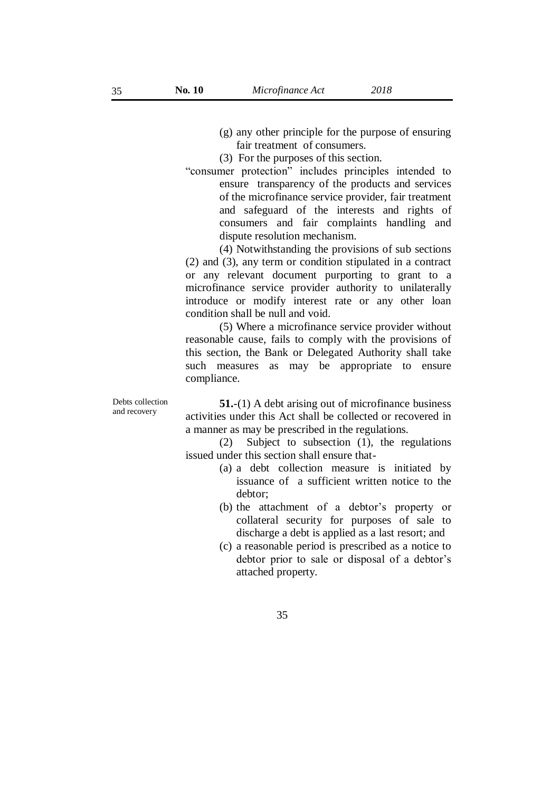- (g) any other principle for the purpose of ensuring fair treatment of consumers.
- (3) For the purposes of this section.
- "consumer protection" includes principles intended to ensure transparency of the products and services of the microfinance service provider, fair treatment and safeguard of the interests and rights of consumers and fair complaints handling and dispute resolution mechanism.

(4) Notwithstanding the provisions of sub sections (2) and (3), any term or condition stipulated in a contract or any relevant document purporting to grant to a microfinance service provider authority to unilaterally introduce or modify interest rate or any other loan condition shall be null and void.

(5) Where a microfinance service provider without reasonable cause, fails to comply with the provisions of this section, the Bank or Delegated Authority shall take such measures as may be appropriate to ensure compliance.

**51.**-(1) A debt arising out of microfinance business activities under this Act shall be collected or recovered in a manner as may be prescribed in the regulations.

(2) Subject to subsection (1), the regulations issued under this section shall ensure that-

- (a) a debt collection measure is initiated by issuance of a sufficient written notice to the debtor;
- (b) the attachment of a debtor's property or collateral security for purposes of sale to discharge a debt is applied as a last resort; and
- (c) a reasonable period is prescribed as a notice to debtor prior to sale or disposal of a debtor's attached property.

Debts collection and recovery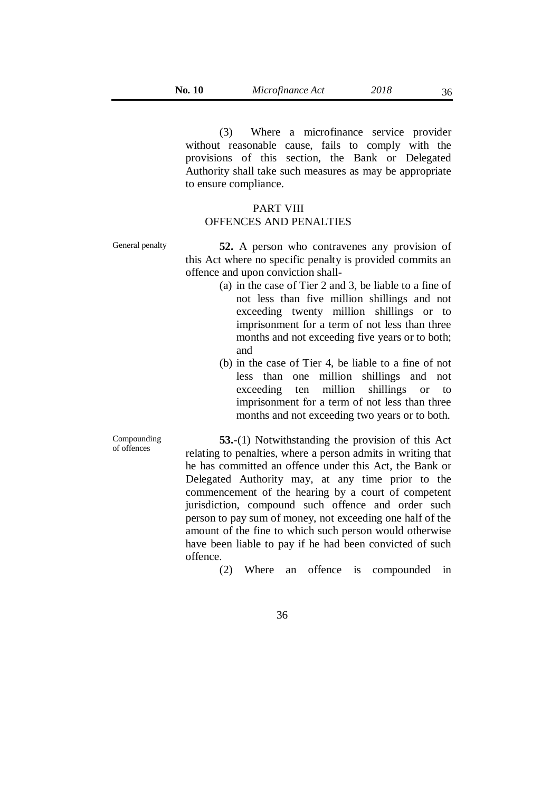(3) Where a microfinance service provider without reasonable cause, fails to comply with the provisions of this section, the Bank or Delegated Authority shall take such measures as may be appropriate to ensure compliance.

## PART VIII OFFENCES AND PENALTIES

Compounding of offences

General penalty **52.** A person who contravenes any provision of this Act where no specific penalty is provided commits an offence and upon conviction shall-

- (a) in the case of Tier 2 and 3, be liable to a fine of not less than five million shillings and not exceeding twenty million shillings or to imprisonment for a term of not less than three months and not exceeding five years or to both; and
- (b) in the case of Tier 4, be liable to a fine of not less than one million shillings and not exceeding ten million shillings or to imprisonment for a term of not less than three months and not exceeding two years or to both.

**53.**-(1) Notwithstanding the provision of this Act relating to penalties, where a person admits in writing that he has committed an offence under this Act, the Bank or Delegated Authority may, at any time prior to the commencement of the hearing by a court of competent jurisdiction, compound such offence and order such person to pay sum of money, not exceeding one half of the amount of the fine to which such person would otherwise have been liable to pay if he had been convicted of such offence.

(2) Where an offence is compounded in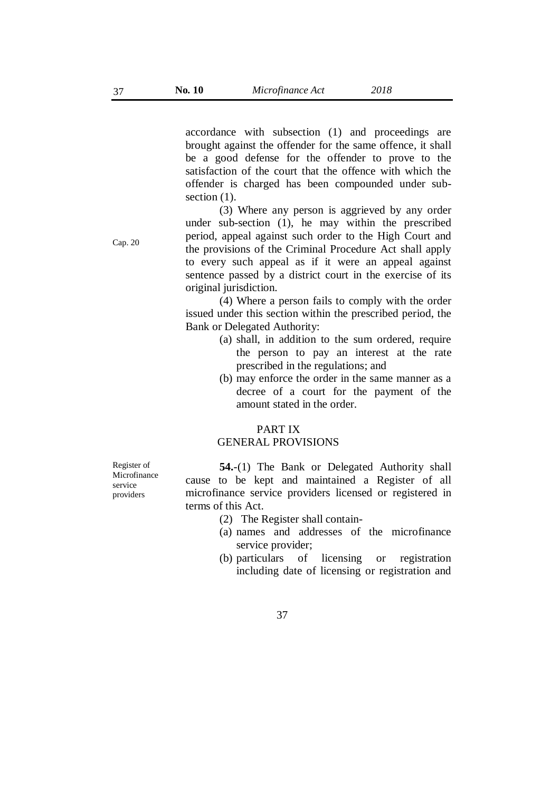accordance with subsection (1) and proceedings are brought against the offender for the same offence, it shall be a good defense for the offender to prove to the satisfaction of the court that the offence with which the offender is charged has been compounded under subsection  $(1)$ .

(3) Where any person is aggrieved by any order under sub-section (1), he may within the prescribed period, appeal against such order to the High Court and the provisions of the Criminal Procedure Act shall apply to every such appeal as if it were an appeal against sentence passed by a district court in the exercise of its original jurisdiction.

(4) Where a person fails to comply with the order issued under this section within the prescribed period, the Bank or Delegated Authority:

- (a) shall, in addition to the sum ordered, require the person to pay an interest at the rate prescribed in the regulations; and
- (b) may enforce the order in the same manner as a decree of a court for the payment of the amount stated in the order.

## PART IX GENERAL PROVISIONS

Register of Microfinance service providers

**54.**-(1) The Bank or Delegated Authority shall cause to be kept and maintained a Register of all microfinance service providers licensed or registered in terms of this Act.

- (2) The Register shall contain-
- (a) names and addresses of the microfinance service provider;
- (b) particulars of licensing or registration including date of licensing or registration and

Cap. 20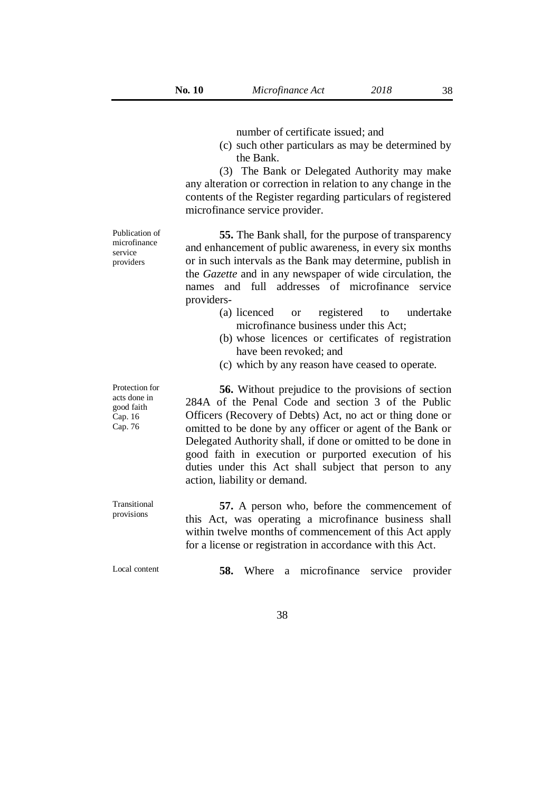number of certificate issued; and

(c) such other particulars as may be determined by the Bank.

(3) The Bank or Delegated Authority may make any alteration or correction in relation to any change in the contents of the Register regarding particulars of registered microfinance service provider.

Publication of microfinance service providers

Protection for acts done in good faith Cap. 16 Cap. 76

**55.** The Bank shall, for the purpose of transparency and enhancement of public awareness, in every six months or in such intervals as the Bank may determine, publish in the *Gazette* and in any newspaper of wide circulation, the names and full addresses of microfinance service providers-

- (a) licenced or registered to undertake microfinance business under this Act;
- (b) whose licences or certificates of registration have been revoked; and
- (c) which by any reason have ceased to operate.

**56.** Without prejudice to the provisions of section 284A of the Penal Code and section 3 of the Public Officers (Recovery of Debts) Act, no act or thing done or omitted to be done by any officer or agent of the Bank or Delegated Authority shall, if done or omitted to be done in good faith in execution or purported execution of his duties under this Act shall subject that person to any action, liability or demand.

**57.** A person who, before the commencement of this Act, was operating a microfinance business shall within twelve months of commencement of this Act apply for a license or registration in accordance with this Act.

Transitional provisions

Local content **58.** Where a microfinance service provider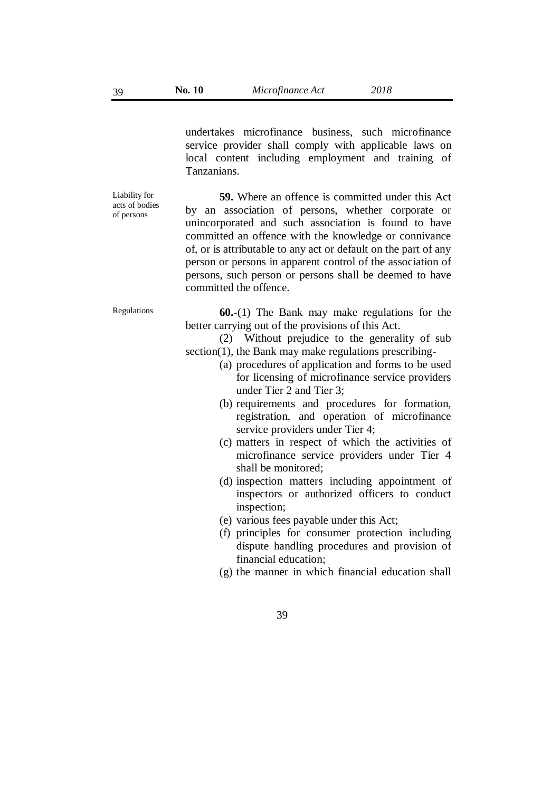undertakes microfinance business, such microfinance service provider shall comply with applicable laws on local content including employment and training of Tanzanians.

**59.** Where an offence is committed under this Act by an association of persons, whether corporate or unincorporated and such association is found to have committed an offence with the knowledge or connivance of, or is attributable to any act or default on the part of any person or persons in apparent control of the association of persons, such person or persons shall be deemed to have committed the offence.

Regulations **60.**-(1) The Bank may make regulations for the better carrying out of the provisions of this Act.

> (2) Without prejudice to the generality of sub section(1), the Bank may make regulations prescribing-

- (a) procedures of application and forms to be used for licensing of microfinance service providers under Tier 2 and Tier 3;
- (b) requirements and procedures for formation, registration, and operation of microfinance service providers under Tier 4;
- (c) matters in respect of which the activities of microfinance service providers under Tier 4 shall be monitored;
- (d) inspection matters including appointment of inspectors or authorized officers to conduct inspection;
- (e) various fees payable under this Act;
- (f) principles for consumer protection including dispute handling procedures and provision of financial education;
- (g) the manner in which financial education shall

Liability for acts of bodies

of persons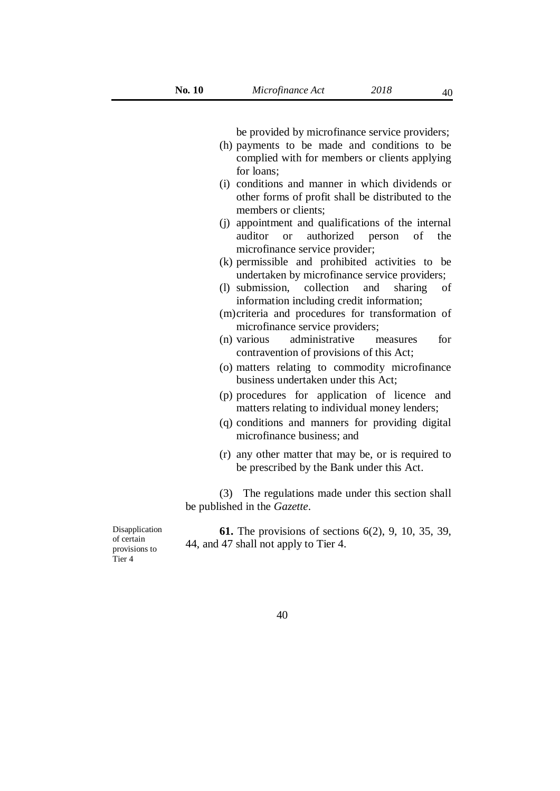be provided by microfinance service providers;

- (h) payments to be made and conditions to be complied with for members or clients applying for loans;
- (i) conditions and manner in which dividends or other forms of profit shall be distributed to the members or clients;
- (j) appointment and qualifications of the internal auditor or authorized person of the microfinance service provider;
- (k) permissible and prohibited activities to be undertaken by microfinance service providers;
- (l) submission, collection and sharing of information including credit information;
- (m)criteria and procedures for transformation of microfinance service providers;
- (n) various administrative measures for contravention of provisions of this Act;
- (o) matters relating to commodity microfinance business undertaken under this Act;
- (p) procedures for application of licence and matters relating to individual money lenders;
- (q) conditions and manners for providing digital microfinance business; and
- (r) any other matter that may be, or is required to be prescribed by the Bank under this Act.

(3) The regulations made under this section shall be published in the *Gazette*.

**61.** The provisions of sections 6(2), 9, 10, 35, 39, 44, and 47 shall not apply to Tier 4.

Disapplication of certain provisions to Tier 4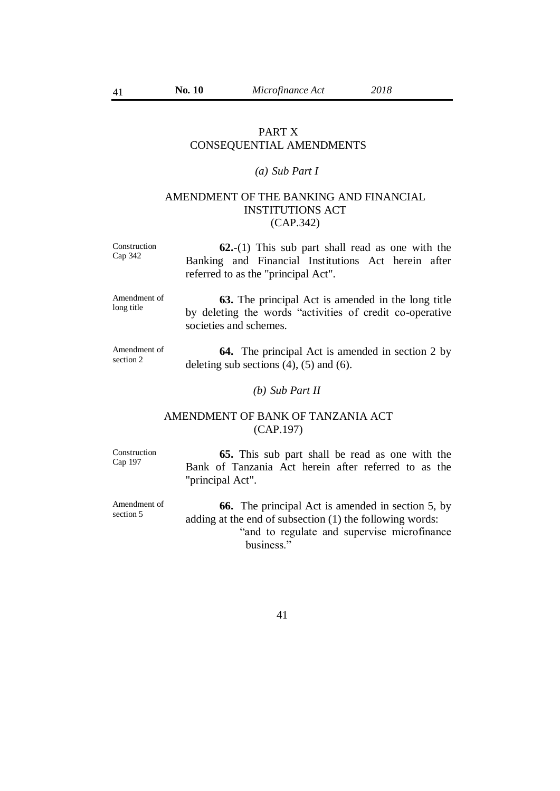41

## PART X CONSEQUENTIAL AMENDMENTS

# *(a) Sub Part I*

# AMENDMENT OF THE BANKING AND FINANCIAL INSTITUTIONS ACT (CAP.342)

Construction Cap 342 **62.**-(1) This sub part shall read as one with the Banking and Financial Institutions Act herein after referred to as the "principal Act".

Amendment of long title

**63.** The principal Act is amended in the long title by deleting the words "activities of credit co-operative societies and schemes.

Amendment of section 2

**64.** The principal Act is amended in section 2 by deleting sub sections  $(4)$ ,  $(5)$  and  $(6)$ .

*(b) Sub Part II*

# AMENDMENT OF BANK OF TANZANIA ACT (CAP.197)

Construction Cap 197

section 5

**65.** This sub part shall be read as one with the Bank of Tanzania Act herein after referred to as the "principal Act".

Amendment of **66.** The principal Act is amended in section 5, by adding at the end of subsection (1) the following words: "and to regulate and supervise microfinance business."